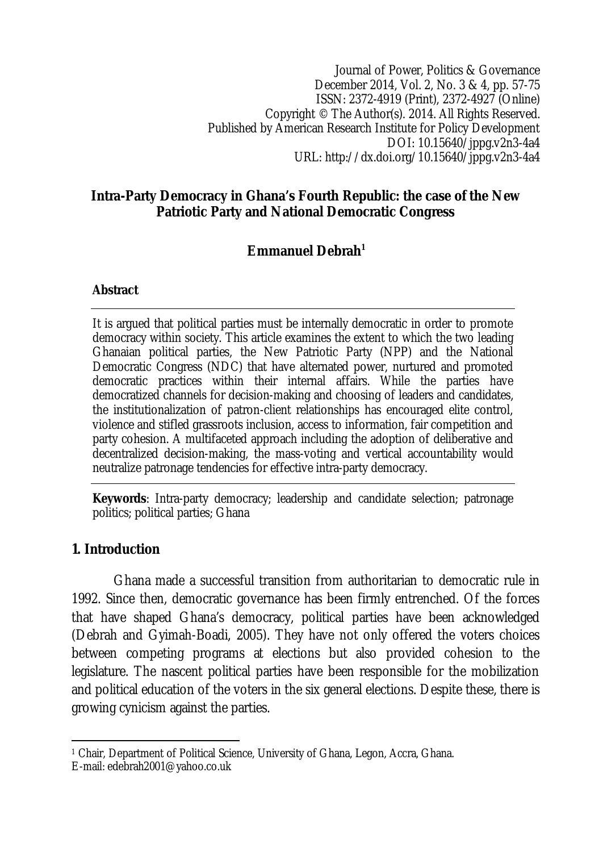Journal of Power, Politics & Governance December 2014, Vol. 2, No. 3 & 4, pp. 57-75 ISSN: 2372-4919 (Print), 2372-4927 (Online) Copyright © The Author(s). 2014. All Rights Reserved. Published by American Research Institute for Policy Development DOI: 10.15640/jppg.v2n3-4a4 URL: http://dx.doi.org/10.15640/jppg.v2n3-4a4

# **Intra-Party Democracy in Ghana's Fourth Republic: the case of the New Patriotic Party and National Democratic Congress**

# **Emmanuel Debrah<sup>1</sup>**

## **Abstract**

It is argued that political parties must be internally democratic in order to promote democracy within society. This article examines the extent to which the two leading Ghanaian political parties, the New Patriotic Party (NPP) and the National Democratic Congress (NDC) that have alternated power, nurtured and promoted democratic practices within their internal affairs. While the parties have democratized channels for decision-making and choosing of leaders and candidates, the institutionalization of patron-client relationships has encouraged elite control, violence and stifled grassroots inclusion, access to information, fair competition and party cohesion. A multifaceted approach including the adoption of deliberative and decentralized decision-making, the mass-voting and vertical accountability would neutralize patronage tendencies for effective intra-party democracy.

**Keywords**: Intra-party democracy; leadership and candidate selection; patronage politics; political parties; Ghana

# **1. Introduction**

Ghana made a successful transition from authoritarian to democratic rule in 1992. Since then, democratic governance has been firmly entrenched. Of the forces that have shaped Ghana's democracy, political parties have been acknowledged (Debrah and Gyimah-Boadi, 2005). They have not only offered the voters choices between competing programs at elections but also provided cohesion to the legislature. The nascent political parties have been responsible for the mobilization and political education of the voters in the six general elections. Despite these, there is growing cynicism against the parties.

 $\overline{a}$ <sup>1</sup> Chair, Department of Political Science, University of Ghana, Legon, Accra, Ghana.

E-mail: edebrah2001@yahoo.co.uk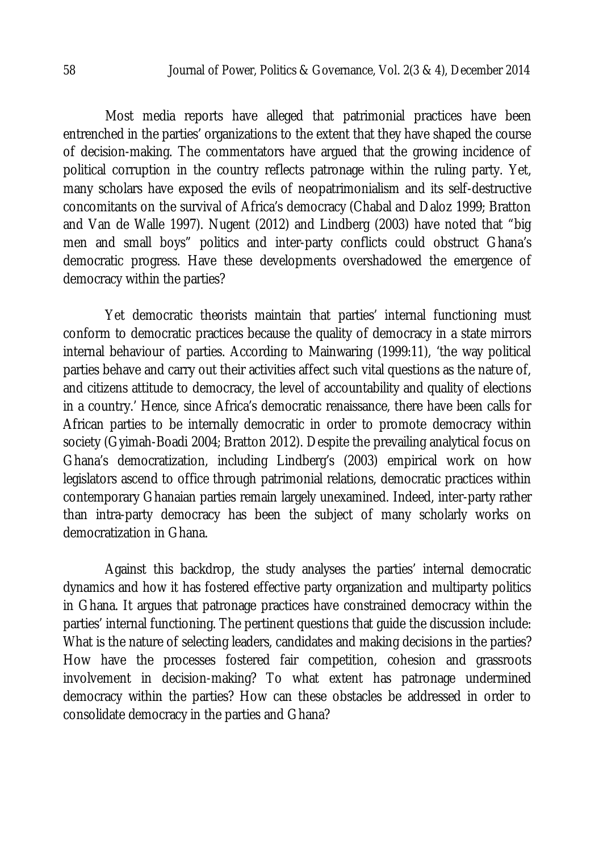Most media reports have alleged that patrimonial practices have been entrenched in the parties' organizations to the extent that they have shaped the course of decision-making. The commentators have argued that the growing incidence of political corruption in the country reflects patronage within the ruling party. Yet, many scholars have exposed the evils of neopatrimonialism and its self-destructive concomitants on the survival of Africa's democracy (Chabal and Daloz 1999; Bratton and Van de Walle 1997). Nugent (2012) and Lindberg (2003) have noted that "big men and small boys" politics and inter-party conflicts could obstruct Ghana's democratic progress. Have these developments overshadowed the emergence of democracy within the parties?

Yet democratic theorists maintain that parties' internal functioning must conform to democratic practices because the quality of democracy in a state mirrors internal behaviour of parties. According to Mainwaring (1999:11), 'the way political parties behave and carry out their activities affect such vital questions as the nature of, and citizens attitude to democracy, the level of accountability and quality of elections in a country.' Hence, since Africa's democratic renaissance, there have been calls for African parties to be internally democratic in order to promote democracy within society (Gyimah-Boadi 2004; Bratton 2012). Despite the prevailing analytical focus on Ghana's democratization, including Lindberg's (2003) empirical work on how legislators ascend to office through patrimonial relations, democratic practices within contemporary Ghanaian parties remain largely unexamined. Indeed, inter-party rather than intra-party democracy has been the subject of many scholarly works on democratization in Ghana.

Against this backdrop, the study analyses the parties' internal democratic dynamics and how it has fostered effective party organization and multiparty politics in Ghana. It argues that patronage practices have constrained democracy within the parties' internal functioning. The pertinent questions that guide the discussion include: What is the nature of selecting leaders, candidates and making decisions in the parties? How have the processes fostered fair competition, cohesion and grassroots involvement in decision-making? To what extent has patronage undermined democracy within the parties? How can these obstacles be addressed in order to consolidate democracy in the parties and Ghana?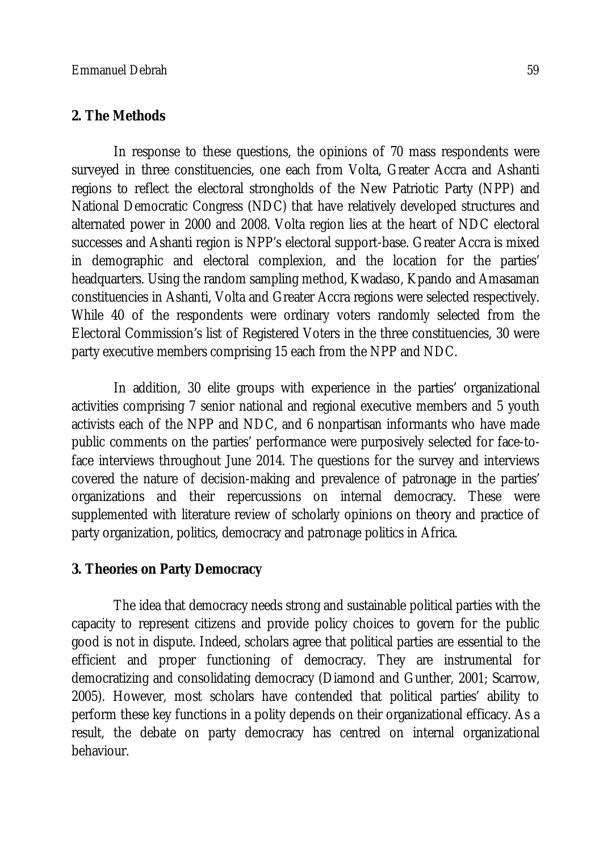## **2. The Methods**

In response to these questions, the opinions of 70 mass respondents were surveyed in three constituencies, one each from Volta, Greater Accra and Ashanti regions to reflect the electoral strongholds of the New Patriotic Party (NPP) and National Democratic Congress (NDC) that have relatively developed structures and alternated power in 2000 and 2008. Volta region lies at the heart of NDC electoral successes and Ashanti region is NPP's electoral support-base. Greater Accra is mixed in demographic and electoral complexion, and the location for the parties' headquarters. Using the random sampling method, Kwadaso, Kpando and Amasaman constituencies in Ashanti, Volta and Greater Accra regions were selected respectively. While 40 of the respondents were ordinary voters randomly selected from the Electoral Commission's list of Registered Voters in the three constituencies, 30 were party executive members comprising 15 each from the NPP and NDC.

In addition, 30 elite groups with experience in the parties' organizational activities comprising 7 senior national and regional executive members and 5 youth activists each of the NPP and NDC, and 6 nonpartisan informants who have made public comments on the parties' performance were purposively selected for face-toface interviews throughout June 2014. The questions for the survey and interviews covered the nature of decision-making and prevalence of patronage in the parties' organizations and their repercussions on internal democracy. These were supplemented with literature review of scholarly opinions on theory and practice of party organization, politics, democracy and patronage politics in Africa.

# **3. Theories on Party Democracy**

The idea that democracy needs strong and sustainable political parties with the capacity to represent citizens and provide policy choices to govern for the public good is not in dispute. Indeed, scholars agree that political parties are essential to the efficient and proper functioning of democracy. They are instrumental for democratizing and consolidating democracy (Diamond and Gunther, 2001; Scarrow, 2005). However, most scholars have contended that political parties' ability to perform these key functions in a polity depends on their organizational efficacy. As a result, the debate on party democracy has centred on internal organizational behaviour.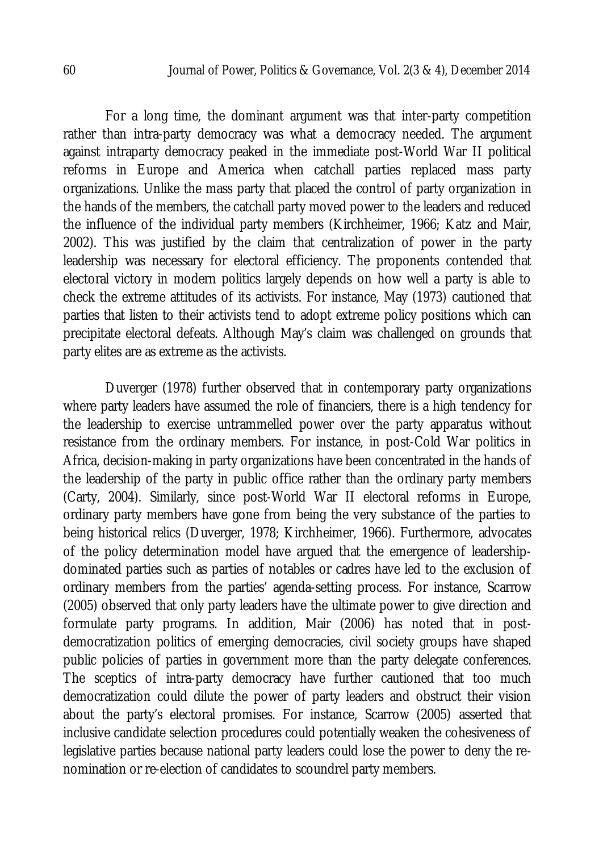For a long time, the dominant argument was that inter-party competition rather than intra-party democracy was what a democracy needed. The argument against intraparty democracy peaked in the immediate post-World War II political reforms in Europe and America when catchall parties replaced mass party organizations. Unlike the mass party that placed the control of party organization in the hands of the members, the catchall party moved power to the leaders and reduced the influence of the individual party members (Kirchheimer, 1966; Katz and Mair, 2002). This was justified by the claim that centralization of power in the party leadership was necessary for electoral efficiency. The proponents contended that electoral victory in modern politics largely depends on how well a party is able to check the extreme attitudes of its activists. For instance, May (1973) cautioned that parties that listen to their activists tend to adopt extreme policy positions which can precipitate electoral defeats. Although May's claim was challenged on grounds that party elites are as extreme as the activists.

Duverger (1978) further observed that in contemporary party organizations where party leaders have assumed the role of financiers, there is a high tendency for the leadership to exercise untrammelled power over the party apparatus without resistance from the ordinary members. For instance, in post-Cold War politics in Africa, decision-making in party organizations have been concentrated in the hands of the leadership of the party in public office rather than the ordinary party members (Carty, 2004). Similarly, since post-World War II electoral reforms in Europe, ordinary party members have gone from being the very substance of the parties to being historical relics (Duverger, 1978; Kirchheimer, 1966). Furthermore, advocates of the policy determination model have argued that the emergence of leadershipdominated parties such as parties of notables or cadres have led to the exclusion of ordinary members from the parties' agenda-setting process. For instance, Scarrow (2005) observed that only party leaders have the ultimate power to give direction and formulate party programs. In addition, Mair (2006) has noted that in postdemocratization politics of emerging democracies, civil society groups have shaped public policies of parties in government more than the party delegate conferences. The sceptics of intra-party democracy have further cautioned that too much democratization could dilute the power of party leaders and obstruct their vision about the party's electoral promises. For instance, Scarrow (2005) asserted that inclusive candidate selection procedures could potentially weaken the cohesiveness of legislative parties because national party leaders could lose the power to deny the renomination or re-election of candidates to scoundrel party members.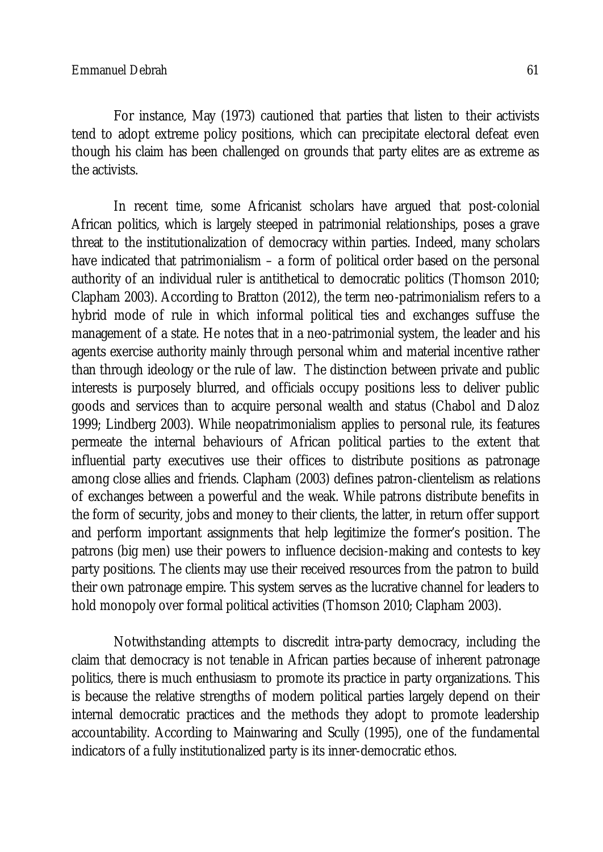For instance, May (1973) cautioned that parties that listen to their activists tend to adopt extreme policy positions, which can precipitate electoral defeat even though his claim has been challenged on grounds that party elites are as extreme as the activists.

In recent time, some Africanist scholars have argued that post-colonial African politics, which is largely steeped in patrimonial relationships, poses a grave threat to the institutionalization of democracy within parties. Indeed, many scholars have indicated that patrimonialism – a form of political order based on the personal authority of an individual ruler is antithetical to democratic politics (Thomson 2010; Clapham 2003). According to Bratton (2012), the term neo-patrimonialism refers to a hybrid mode of rule in which informal political ties and exchanges suffuse the management of a state. He notes that in a neo-patrimonial system, the leader and his agents exercise authority mainly through personal whim and material incentive rather than through ideology or the rule of law. The distinction between private and public interests is purposely blurred, and officials occupy positions less to deliver public goods and services than to acquire personal wealth and status (Chabol and Daloz 1999; Lindberg 2003). While neopatrimonialism applies to personal rule, its features permeate the internal behaviours of African political parties to the extent that influential party executives use their offices to distribute positions as patronage among close allies and friends. Clapham (2003) defines patron-clientelism as relations of exchanges between a powerful and the weak. While patrons distribute benefits in the form of security, jobs and money to their clients, the latter, in return offer support and perform important assignments that help legitimize the former's position. The patrons (big men) use their powers to influence decision-making and contests to key party positions. The clients may use their received resources from the patron to build their own patronage empire. This system serves as the lucrative channel for leaders to hold monopoly over formal political activities (Thomson 2010; Clapham 2003).

Notwithstanding attempts to discredit intra-party democracy, including the claim that democracy is not tenable in African parties because of inherent patronage politics, there is much enthusiasm to promote its practice in party organizations. This is because the relative strengths of modern political parties largely depend on their internal democratic practices and the methods they adopt to promote leadership accountability. According to Mainwaring and Scully (1995), one of the fundamental indicators of a fully institutionalized party is its inner-democratic ethos.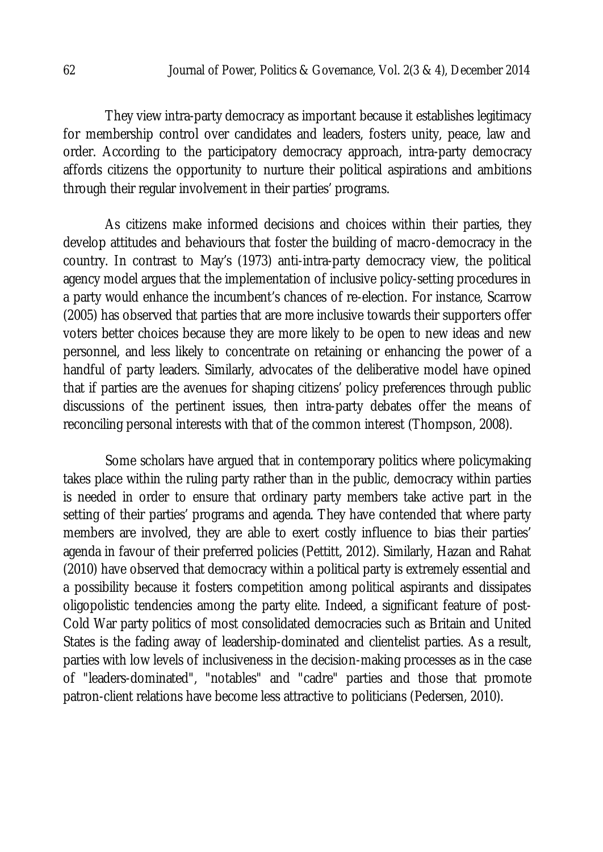They view intra-party democracy as important because it establishes legitimacy for membership control over candidates and leaders, fosters unity, peace, law and order. According to the participatory democracy approach, intra-party democracy affords citizens the opportunity to nurture their political aspirations and ambitions through their regular involvement in their parties' programs.

As citizens make informed decisions and choices within their parties, they develop attitudes and behaviours that foster the building of macro-democracy in the country. In contrast to May's (1973) anti-intra-party democracy view, the political agency model argues that the implementation of inclusive policy-setting procedures in a party would enhance the incumbent's chances of re-election. For instance, Scarrow (2005) has observed that parties that are more inclusive towards their supporters offer voters better choices because they are more likely to be open to new ideas and new personnel, and less likely to concentrate on retaining or enhancing the power of a handful of party leaders. Similarly, advocates of the deliberative model have opined that if parties are the avenues for shaping citizens' policy preferences through public discussions of the pertinent issues, then intra-party debates offer the means of reconciling personal interests with that of the common interest (Thompson, 2008).

Some scholars have argued that in contemporary politics where policymaking takes place within the ruling party rather than in the public, democracy within parties is needed in order to ensure that ordinary party members take active part in the setting of their parties' programs and agenda. They have contended that where party members are involved, they are able to exert costly influence to bias their parties' agenda in favour of their preferred policies (Pettitt, 2012). Similarly, Hazan and Rahat (2010) have observed that democracy within a political party is extremely essential and a possibility because it fosters competition among political aspirants and dissipates oligopolistic tendencies among the party elite. Indeed, a significant feature of post-Cold War party politics of most consolidated democracies such as Britain and United States is the fading away of leadership-dominated and clientelist parties. As a result, parties with low levels of inclusiveness in the decision-making processes as in the case of "leaders-dominated", "notables" and "cadre" parties and those that promote patron-client relations have become less attractive to politicians (Pedersen, 2010).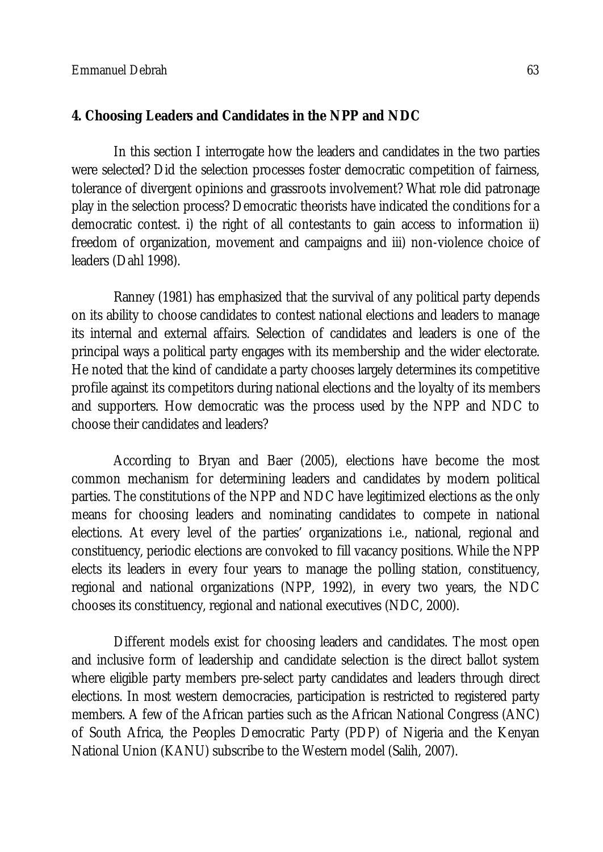# **4. Choosing Leaders and Candidates in the NPP and NDC**

In this section I interrogate how the leaders and candidates in the two parties were selected? Did the selection processes foster democratic competition of fairness, tolerance of divergent opinions and grassroots involvement? What role did patronage play in the selection process? Democratic theorists have indicated the conditions for a democratic contest. i) the right of all contestants to gain access to information ii) freedom of organization, movement and campaigns and iii) non-violence choice of leaders (Dahl 1998).

Ranney (1981) has emphasized that the survival of any political party depends on its ability to choose candidates to contest national elections and leaders to manage its internal and external affairs. Selection of candidates and leaders is one of the principal ways a political party engages with its membership and the wider electorate. He noted that the kind of candidate a party chooses largely determines its competitive profile against its competitors during national elections and the loyalty of its members and supporters. How democratic was the process used by the NPP and NDC to choose their candidates and leaders?

According to Bryan and Baer (2005), elections have become the most common mechanism for determining leaders and candidates by modern political parties. The constitutions of the NPP and NDC have legitimized elections as the only means for choosing leaders and nominating candidates to compete in national elections. At every level of the parties' organizations i.e., national, regional and constituency, periodic elections are convoked to fill vacancy positions. While the NPP elects its leaders in every four years to manage the polling station, constituency, regional and national organizations (NPP, 1992), in every two years, the NDC chooses its constituency, regional and national executives (NDC, 2000).

Different models exist for choosing leaders and candidates. The most open and inclusive form of leadership and candidate selection is the direct ballot system where eligible party members pre-select party candidates and leaders through direct elections. In most western democracies, participation is restricted to registered party members. A few of the African parties such as the African National Congress (ANC) of South Africa, the Peoples Democratic Party (PDP) of Nigeria and the Kenyan National Union (KANU) subscribe to the Western model (Salih, 2007).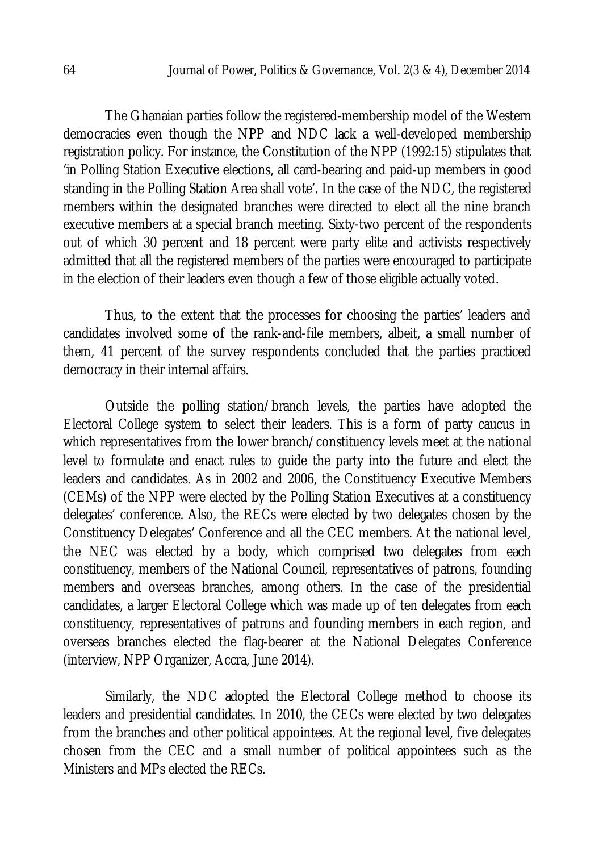The Ghanaian parties follow the registered-membership model of the Western democracies even though the NPP and NDC lack a well-developed membership registration policy. For instance, the Constitution of the NPP (1992:15) stipulates that 'in Polling Station Executive elections, all card-bearing and paid-up members in good standing in the Polling Station Area shall vote'. In the case of the NDC, the registered members within the designated branches were directed to elect all the nine branch executive members at a special branch meeting. Sixty-two percent of the respondents out of which 30 percent and 18 percent were party elite and activists respectively admitted that all the registered members of the parties were encouraged to participate in the election of their leaders even though a few of those eligible actually voted.

Thus, to the extent that the processes for choosing the parties' leaders and candidates involved some of the rank-and-file members, albeit, a small number of them, 41 percent of the survey respondents concluded that the parties practiced democracy in their internal affairs.

Outside the polling station/branch levels, the parties have adopted the Electoral College system to select their leaders. This is a form of party caucus in which representatives from the lower branch/constituency levels meet at the national level to formulate and enact rules to guide the party into the future and elect the leaders and candidates. As in 2002 and 2006, the Constituency Executive Members (CEMs) of the NPP were elected by the Polling Station Executives at a constituency delegates' conference. Also, the RECs were elected by two delegates chosen by the Constituency Delegates' Conference and all the CEC members. At the national level, the NEC was elected by a body, which comprised two delegates from each constituency, members of the National Council, representatives of patrons, founding members and overseas branches, among others. In the case of the presidential candidates, a larger Electoral College which was made up of ten delegates from each constituency, representatives of patrons and founding members in each region, and overseas branches elected the flag-bearer at the National Delegates Conference (interview, NPP Organizer, Accra, June 2014).

Similarly, the NDC adopted the Electoral College method to choose its leaders and presidential candidates. In 2010, the CECs were elected by two delegates from the branches and other political appointees. At the regional level, five delegates chosen from the CEC and a small number of political appointees such as the Ministers and MPs elected the RECs.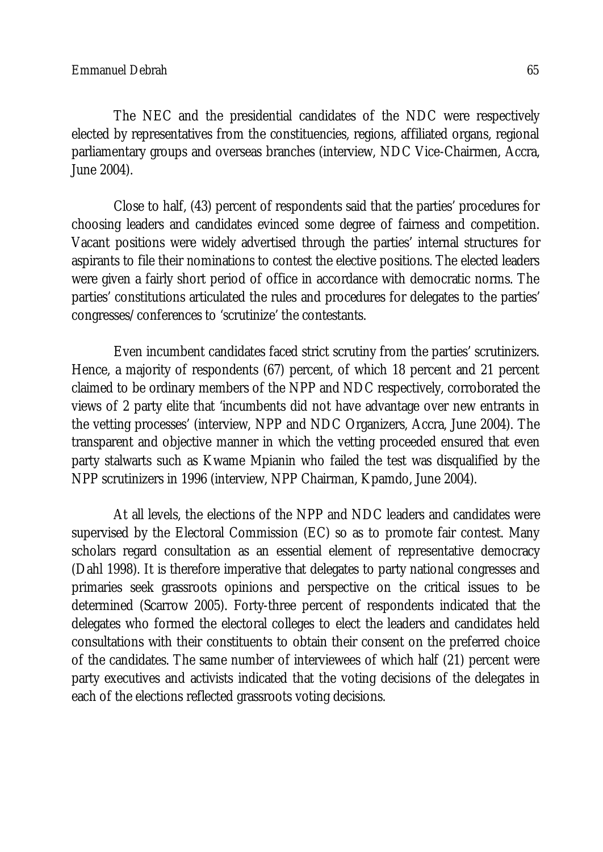The NEC and the presidential candidates of the NDC were respectively elected by representatives from the constituencies, regions, affiliated organs, regional parliamentary groups and overseas branches (interview, NDC Vice-Chairmen, Accra, June 2004).

Close to half, (43) percent of respondents said that the parties' procedures for choosing leaders and candidates evinced some degree of fairness and competition. Vacant positions were widely advertised through the parties' internal structures for aspirants to file their nominations to contest the elective positions. The elected leaders were given a fairly short period of office in accordance with democratic norms. The parties' constitutions articulated the rules and procedures for delegates to the parties' congresses/conferences to 'scrutinize' the contestants.

Even incumbent candidates faced strict scrutiny from the parties' scrutinizers. Hence, a majority of respondents (67) percent, of which 18 percent and 21 percent claimed to be ordinary members of the NPP and NDC respectively, corroborated the views of 2 party elite that 'incumbents did not have advantage over new entrants in the vetting processes' (interview, NPP and NDC Organizers, Accra, June 2004). The transparent and objective manner in which the vetting proceeded ensured that even party stalwarts such as Kwame Mpianin who failed the test was disqualified by the NPP scrutinizers in 1996 (interview, NPP Chairman, Kpamdo, June 2004).

At all levels, the elections of the NPP and NDC leaders and candidates were supervised by the Electoral Commission (EC) so as to promote fair contest. Many scholars regard consultation as an essential element of representative democracy (Dahl 1998). It is therefore imperative that delegates to party national congresses and primaries seek grassroots opinions and perspective on the critical issues to be determined (Scarrow 2005). Forty-three percent of respondents indicated that the delegates who formed the electoral colleges to elect the leaders and candidates held consultations with their constituents to obtain their consent on the preferred choice of the candidates. The same number of interviewees of which half (21) percent were party executives and activists indicated that the voting decisions of the delegates in each of the elections reflected grassroots voting decisions.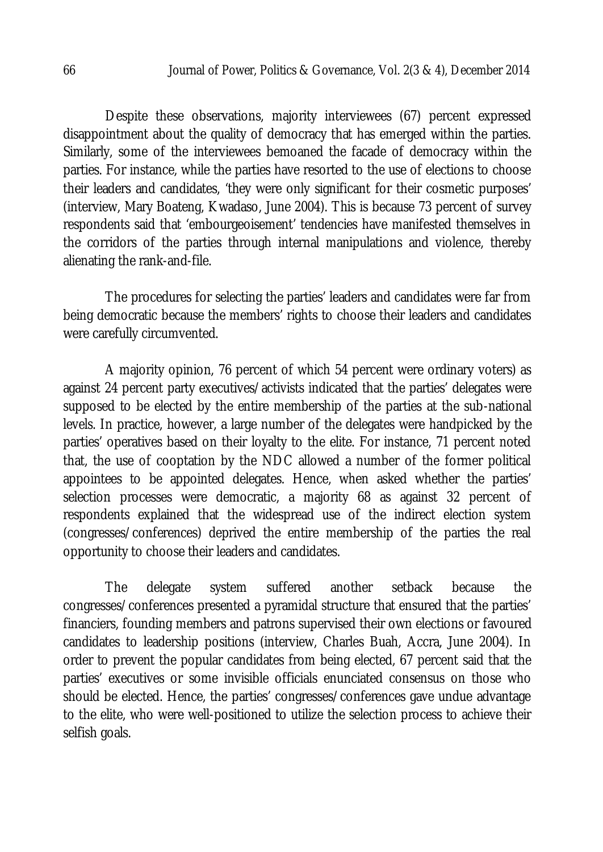Despite these observations, majority interviewees (67) percent expressed disappointment about the quality of democracy that has emerged within the parties. Similarly, some of the interviewees bemoaned the facade of democracy within the parties. For instance, while the parties have resorted to the use of elections to choose their leaders and candidates, 'they were only significant for their cosmetic purposes' (interview, Mary Boateng, Kwadaso, June 2004). This is because 73 percent of survey respondents said that 'embourgeoisement' tendencies have manifested themselves in the corridors of the parties through internal manipulations and violence, thereby alienating the rank-and-file.

The procedures for selecting the parties' leaders and candidates were far from being democratic because the members' rights to choose their leaders and candidates were carefully circumvented.

A majority opinion, 76 percent of which 54 percent were ordinary voters) as against 24 percent party executives/activists indicated that the parties' delegates were supposed to be elected by the entire membership of the parties at the sub-national levels. In practice, however, a large number of the delegates were handpicked by the parties' operatives based on their loyalty to the elite. For instance, 71 percent noted that, the use of cooptation by the NDC allowed a number of the former political appointees to be appointed delegates. Hence, when asked whether the parties' selection processes were democratic, a majority 68 as against 32 percent of respondents explained that the widespread use of the indirect election system (congresses/conferences) deprived the entire membership of the parties the real opportunity to choose their leaders and candidates.

The delegate system suffered another setback because the congresses/conferences presented a pyramidal structure that ensured that the parties' financiers, founding members and patrons supervised their own elections or favoured candidates to leadership positions (interview, Charles Buah, Accra, June 2004). In order to prevent the popular candidates from being elected, 67 percent said that the parties' executives or some invisible officials enunciated consensus on those who should be elected. Hence, the parties' congresses/conferences gave undue advantage to the elite, who were well-positioned to utilize the selection process to achieve their selfish goals.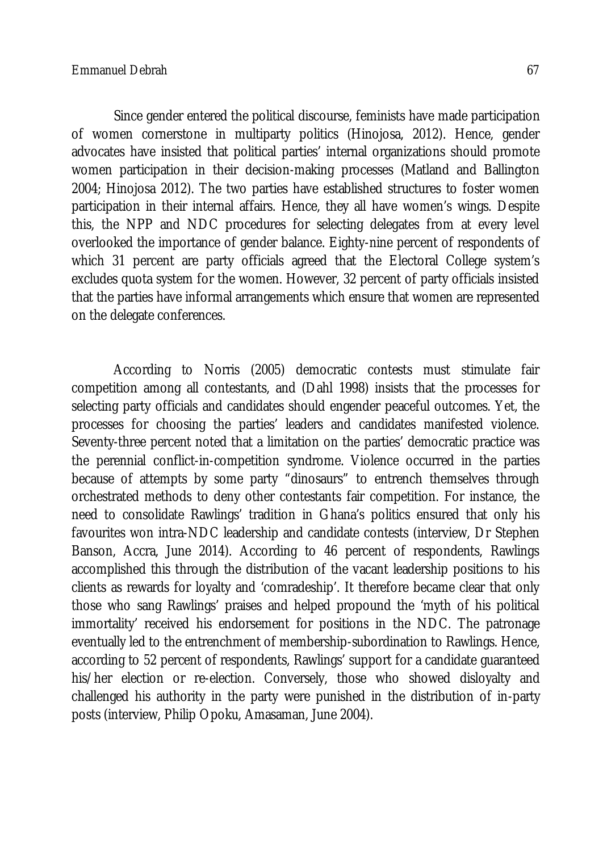Since gender entered the political discourse, feminists have made participation of women cornerstone in multiparty politics (Hinojosa, 2012). Hence, gender advocates have insisted that political parties' internal organizations should promote women participation in their decision-making processes (Matland and Ballington 2004; Hinojosa 2012). The two parties have established structures to foster women participation in their internal affairs. Hence, they all have women's wings. Despite this, the NPP and NDC procedures for selecting delegates from at every level overlooked the importance of gender balance. Eighty-nine percent of respondents of which 31 percent are party officials agreed that the Electoral College system's excludes quota system for the women. However, 32 percent of party officials insisted that the parties have informal arrangements which ensure that women are represented on the delegate conferences.

According to Norris (2005) democratic contests must stimulate fair competition among all contestants, and (Dahl 1998) insists that the processes for selecting party officials and candidates should engender peaceful outcomes. Yet, the processes for choosing the parties' leaders and candidates manifested violence. Seventy-three percent noted that a limitation on the parties' democratic practice was the perennial conflict-in-competition syndrome. Violence occurred in the parties because of attempts by some party "dinosaurs" to entrench themselves through orchestrated methods to deny other contestants fair competition. For instance, the need to consolidate Rawlings' tradition in Ghana's politics ensured that only his favourites won intra-NDC leadership and candidate contests (interview, Dr Stephen Banson, Accra, June 2014). According to 46 percent of respondents, Rawlings accomplished this through the distribution of the vacant leadership positions to his clients as rewards for loyalty and 'comradeship'. It therefore became clear that only those who sang Rawlings' praises and helped propound the 'myth of his political immortality' received his endorsement for positions in the NDC. The patronage eventually led to the entrenchment of membership-subordination to Rawlings. Hence, according to 52 percent of respondents, Rawlings' support for a candidate guaranteed his/her election or re-election. Conversely, those who showed disloyalty and challenged his authority in the party were punished in the distribution of in-party posts (interview, Philip Opoku, Amasaman, June 2004).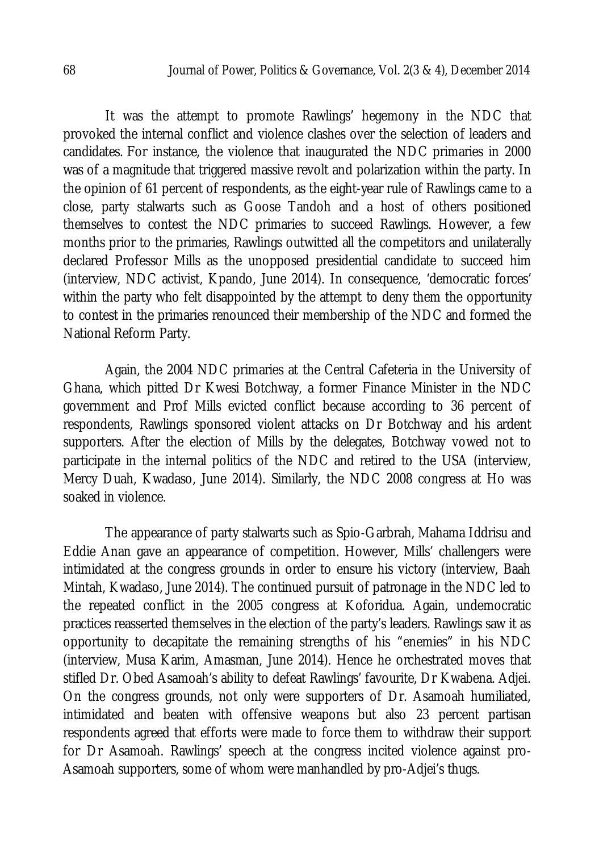It was the attempt to promote Rawlings' hegemony in the NDC that provoked the internal conflict and violence clashes over the selection of leaders and candidates. For instance, the violence that inaugurated the NDC primaries in 2000 was of a magnitude that triggered massive revolt and polarization within the party. In the opinion of 61 percent of respondents, as the eight-year rule of Rawlings came to a close, party stalwarts such as Goose Tandoh and a host of others positioned themselves to contest the NDC primaries to succeed Rawlings. However, a few months prior to the primaries, Rawlings outwitted all the competitors and unilaterally declared Professor Mills as the unopposed presidential candidate to succeed him (interview, NDC activist, Kpando, June 2014). In consequence, 'democratic forces' within the party who felt disappointed by the attempt to deny them the opportunity to contest in the primaries renounced their membership of the NDC and formed the National Reform Party.

Again, the 2004 NDC primaries at the Central Cafeteria in the University of Ghana, which pitted Dr Kwesi Botchway, a former Finance Minister in the NDC government and Prof Mills evicted conflict because according to 36 percent of respondents, Rawlings sponsored violent attacks on Dr Botchway and his ardent supporters. After the election of Mills by the delegates, Botchway vowed not to participate in the internal politics of the NDC and retired to the USA (interview, Mercy Duah, Kwadaso, June 2014). Similarly, the NDC 2008 congress at Ho was soaked in violence.

The appearance of party stalwarts such as Spio-Garbrah, Mahama Iddrisu and Eddie Anan gave an appearance of competition. However, Mills' challengers were intimidated at the congress grounds in order to ensure his victory (interview, Baah Mintah, Kwadaso, June 2014). The continued pursuit of patronage in the NDC led to the repeated conflict in the 2005 congress at Koforidua. Again, undemocratic practices reasserted themselves in the election of the party's leaders. Rawlings saw it as opportunity to decapitate the remaining strengths of his "enemies" in his NDC (interview, Musa Karim, Amasman, June 2014). Hence he orchestrated moves that stifled Dr. Obed Asamoah's ability to defeat Rawlings' favourite, Dr Kwabena. Adjei. On the congress grounds, not only were supporters of Dr. Asamoah humiliated, intimidated and beaten with offensive weapons but also 23 percent partisan respondents agreed that efforts were made to force them to withdraw their support for Dr Asamoah. Rawlings' speech at the congress incited violence against pro-Asamoah supporters, some of whom were manhandled by pro-Adjei's thugs.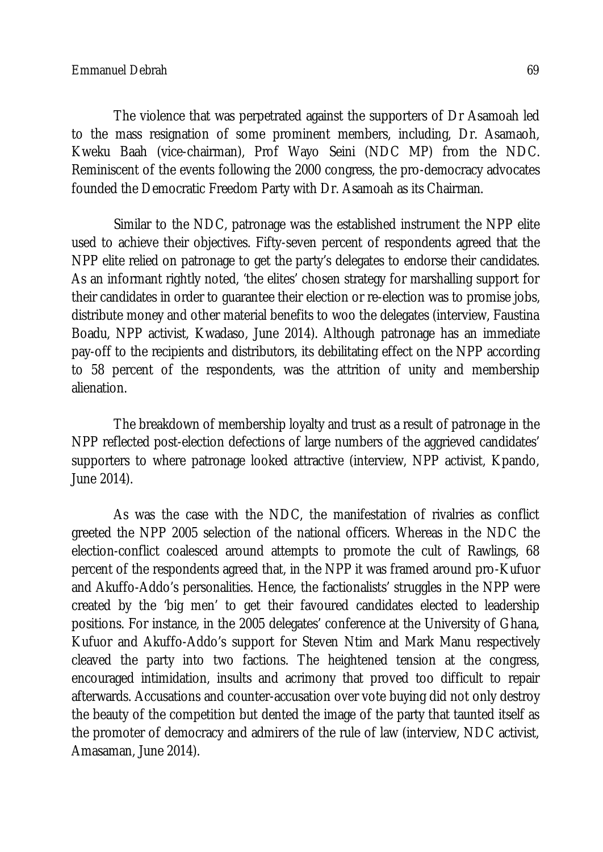The violence that was perpetrated against the supporters of Dr Asamoah led to the mass resignation of some prominent members, including, Dr. Asamaoh, Kweku Baah (vice-chairman), Prof Wayo Seini (NDC MP) from the NDC. Reminiscent of the events following the 2000 congress, the pro-democracy advocates founded the Democratic Freedom Party with Dr. Asamoah as its Chairman.

Similar to the NDC, patronage was the established instrument the NPP elite used to achieve their objectives. Fifty-seven percent of respondents agreed that the NPP elite relied on patronage to get the party's delegates to endorse their candidates. As an informant rightly noted, 'the elites' chosen strategy for marshalling support for their candidates in order to guarantee their election or re-election was to promise jobs, distribute money and other material benefits to woo the delegates (interview, Faustina Boadu, NPP activist, Kwadaso, June 2014). Although patronage has an immediate pay-off to the recipients and distributors, its debilitating effect on the NPP according to 58 percent of the respondents, was the attrition of unity and membership alienation.

The breakdown of membership loyalty and trust as a result of patronage in the NPP reflected post-election defections of large numbers of the aggrieved candidates' supporters to where patronage looked attractive (interview, NPP activist, Kpando, June 2014).

As was the case with the NDC, the manifestation of rivalries as conflict greeted the NPP 2005 selection of the national officers. Whereas in the NDC the election-conflict coalesced around attempts to promote the cult of Rawlings, 68 percent of the respondents agreed that, in the NPP it was framed around pro-Kufuor and Akuffo-Addo's personalities. Hence, the factionalists' struggles in the NPP were created by the 'big men' to get their favoured candidates elected to leadership positions. For instance, in the 2005 delegates' conference at the University of Ghana, Kufuor and Akuffo-Addo's support for Steven Ntim and Mark Manu respectively cleaved the party into two factions. The heightened tension at the congress, encouraged intimidation, insults and acrimony that proved too difficult to repair afterwards. Accusations and counter-accusation over vote buying did not only destroy the beauty of the competition but dented the image of the party that taunted itself as the promoter of democracy and admirers of the rule of law (interview, NDC activist, Amasaman, June 2014).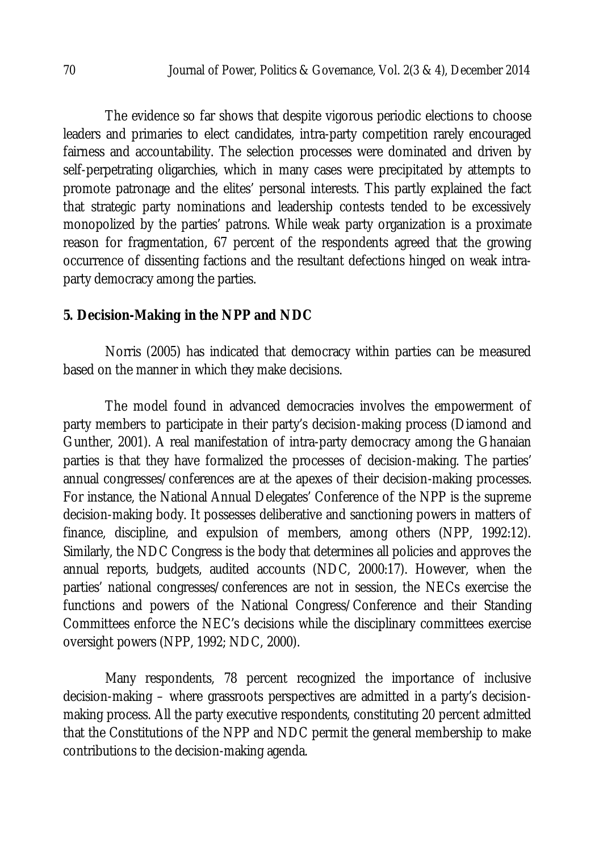The evidence so far shows that despite vigorous periodic elections to choose leaders and primaries to elect candidates, intra-party competition rarely encouraged fairness and accountability. The selection processes were dominated and driven by self-perpetrating oligarchies, which in many cases were precipitated by attempts to promote patronage and the elites' personal interests. This partly explained the fact that strategic party nominations and leadership contests tended to be excessively monopolized by the parties' patrons. While weak party organization is a proximate reason for fragmentation, 67 percent of the respondents agreed that the growing occurrence of dissenting factions and the resultant defections hinged on weak intraparty democracy among the parties.

## **5. Decision-Making in the NPP and NDC**

Norris (2005) has indicated that democracy within parties can be measured based on the manner in which they make decisions.

The model found in advanced democracies involves the empowerment of party members to participate in their party's decision-making process (Diamond and Gunther, 2001). A real manifestation of intra-party democracy among the Ghanaian parties is that they have formalized the processes of decision-making. The parties' annual congresses/conferences are at the apexes of their decision-making processes. For instance, the National Annual Delegates' Conference of the NPP is the supreme decision-making body. It possesses deliberative and sanctioning powers in matters of finance, discipline, and expulsion of members, among others (NPP, 1992:12). Similarly, the NDC Congress is the body that determines all policies and approves the annual reports, budgets, audited accounts (NDC, 2000:17). However, when the parties' national congresses/conferences are not in session, the NECs exercise the functions and powers of the National Congress/Conference and their Standing Committees enforce the NEC's decisions while the disciplinary committees exercise oversight powers (NPP, 1992; NDC, 2000).

Many respondents, 78 percent recognized the importance of inclusive decision-making – where grassroots perspectives are admitted in a party's decisionmaking process. All the party executive respondents, constituting 20 percent admitted that the Constitutions of the NPP and NDC permit the general membership to make contributions to the decision-making agenda.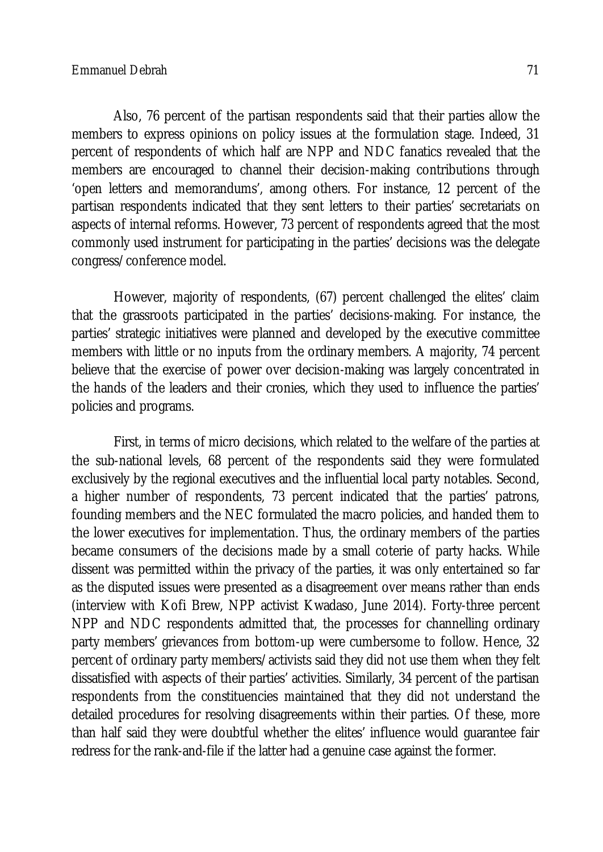Also, 76 percent of the partisan respondents said that their parties allow the members to express opinions on policy issues at the formulation stage. Indeed, 31 percent of respondents of which half are NPP and NDC fanatics revealed that the members are encouraged to channel their decision-making contributions through 'open letters and memorandums', among others. For instance, 12 percent of the partisan respondents indicated that they sent letters to their parties' secretariats on aspects of internal reforms. However, 73 percent of respondents agreed that the most commonly used instrument for participating in the parties' decisions was the delegate congress/conference model.

However, majority of respondents, (67) percent challenged the elites' claim that the grassroots participated in the parties' decisions-making. For instance, the parties' strategic initiatives were planned and developed by the executive committee members with little or no inputs from the ordinary members. A majority, 74 percent believe that the exercise of power over decision-making was largely concentrated in the hands of the leaders and their cronies, which they used to influence the parties' policies and programs.

First, in terms of micro decisions, which related to the welfare of the parties at the sub-national levels, 68 percent of the respondents said they were formulated exclusively by the regional executives and the influential local party notables. Second, a higher number of respondents, 73 percent indicated that the parties' patrons, founding members and the NEC formulated the macro policies, and handed them to the lower executives for implementation. Thus, the ordinary members of the parties became consumers of the decisions made by a small coterie of party hacks. While dissent was permitted within the privacy of the parties, it was only entertained so far as the disputed issues were presented as a disagreement over means rather than ends (interview with Kofi Brew, NPP activist Kwadaso, June 2014). Forty-three percent NPP and NDC respondents admitted that, the processes for channelling ordinary party members' grievances from bottom-up were cumbersome to follow. Hence, 32 percent of ordinary party members/activists said they did not use them when they felt dissatisfied with aspects of their parties' activities. Similarly, 34 percent of the partisan respondents from the constituencies maintained that they did not understand the detailed procedures for resolving disagreements within their parties. Of these, more than half said they were doubtful whether the elites' influence would guarantee fair redress for the rank-and-file if the latter had a genuine case against the former.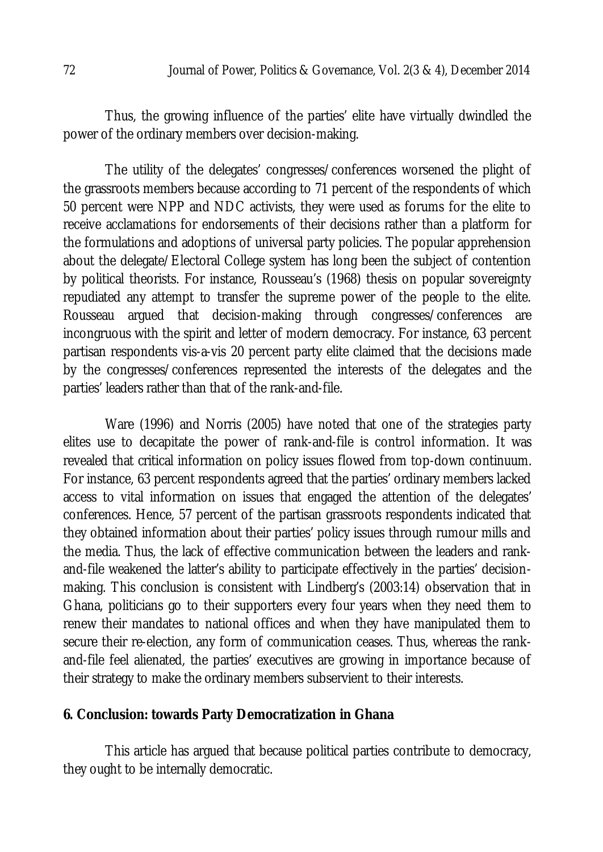Thus, the growing influence of the parties' elite have virtually dwindled the power of the ordinary members over decision-making.

The utility of the delegates' congresses/conferences worsened the plight of the grassroots members because according to 71 percent of the respondents of which 50 percent were NPP and NDC activists, they were used as forums for the elite to receive acclamations for endorsements of their decisions rather than a platform for the formulations and adoptions of universal party policies. The popular apprehension about the delegate/Electoral College system has long been the subject of contention by political theorists. For instance, Rousseau's (1968) thesis on popular sovereignty repudiated any attempt to transfer the supreme power of the people to the elite. Rousseau argued that decision-making through congresses/conferences are incongruous with the spirit and letter of modern democracy. For instance, 63 percent partisan respondents vis-a-vis 20 percent party elite claimed that the decisions made by the congresses/conferences represented the interests of the delegates and the parties' leaders rather than that of the rank-and-file.

Ware (1996) and Norris (2005) have noted that one of the strategies party elites use to decapitate the power of rank-and-file is control information. It was revealed that critical information on policy issues flowed from top-down continuum. For instance, 63 percent respondents agreed that the parties' ordinary members lacked access to vital information on issues that engaged the attention of the delegates' conferences. Hence, 57 percent of the partisan grassroots respondents indicated that they obtained information about their parties' policy issues through rumour mills and the media. Thus, the lack of effective communication between the leaders and rankand-file weakened the latter's ability to participate effectively in the parties' decisionmaking. This conclusion is consistent with Lindberg's (2003:14) observation that in Ghana, politicians go to their supporters every four years when they need them to renew their mandates to national offices and when they have manipulated them to secure their re-election, any form of communication ceases. Thus, whereas the rankand-file feel alienated, the parties' executives are growing in importance because of their strategy to make the ordinary members subservient to their interests.

# **6. Conclusion: towards Party Democratization in Ghana**

This article has argued that because political parties contribute to democracy, they ought to be internally democratic.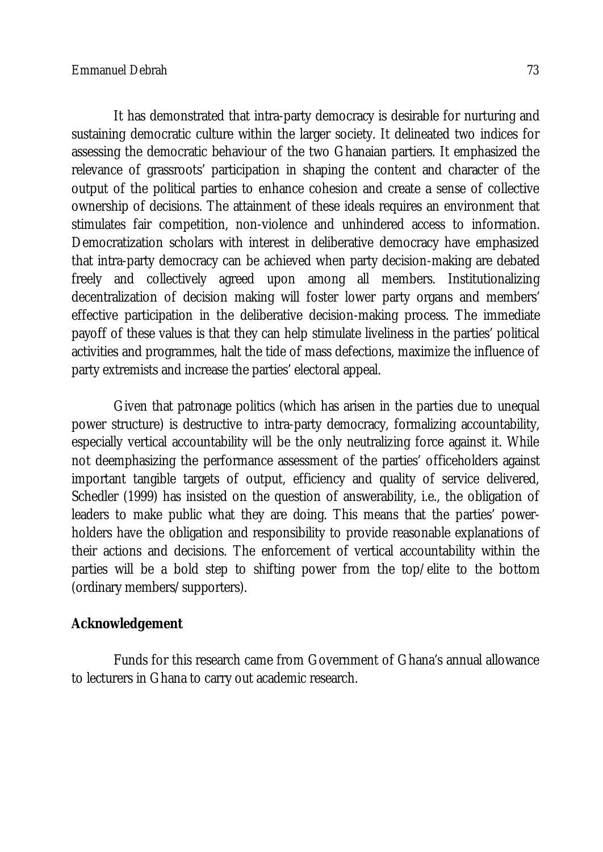It has demonstrated that intra-party democracy is desirable for nurturing and sustaining democratic culture within the larger society. It delineated two indices for assessing the democratic behaviour of the two Ghanaian partiers. It emphasized the relevance of grassroots' participation in shaping the content and character of the output of the political parties to enhance cohesion and create a sense of collective ownership of decisions. The attainment of these ideals requires an environment that stimulates fair competition, non-violence and unhindered access to information. Democratization scholars with interest in deliberative democracy have emphasized that intra-party democracy can be achieved when party decision-making are debated freely and collectively agreed upon among all members. Institutionalizing decentralization of decision making will foster lower party organs and members' effective participation in the deliberative decision-making process. The immediate payoff of these values is that they can help stimulate liveliness in the parties' political activities and programmes, halt the tide of mass defections, maximize the influence of party extremists and increase the parties' electoral appeal.

Given that patronage politics (which has arisen in the parties due to unequal power structure) is destructive to intra-party democracy, formalizing accountability, especially vertical accountability will be the only neutralizing force against it. While not deemphasizing the performance assessment of the parties' officeholders against important tangible targets of output, efficiency and quality of service delivered, Schedler (1999) has insisted on the question of answerability, i.e., the obligation of leaders to make public what they are doing. This means that the parties' powerholders have the obligation and responsibility to provide reasonable explanations of their actions and decisions. The enforcement of vertical accountability within the parties will be a bold step to shifting power from the top/elite to the bottom (ordinary members/supporters).

# **Acknowledgement**

Funds for this research came from Government of Ghana's annual allowance to lecturers in Ghana to carry out academic research.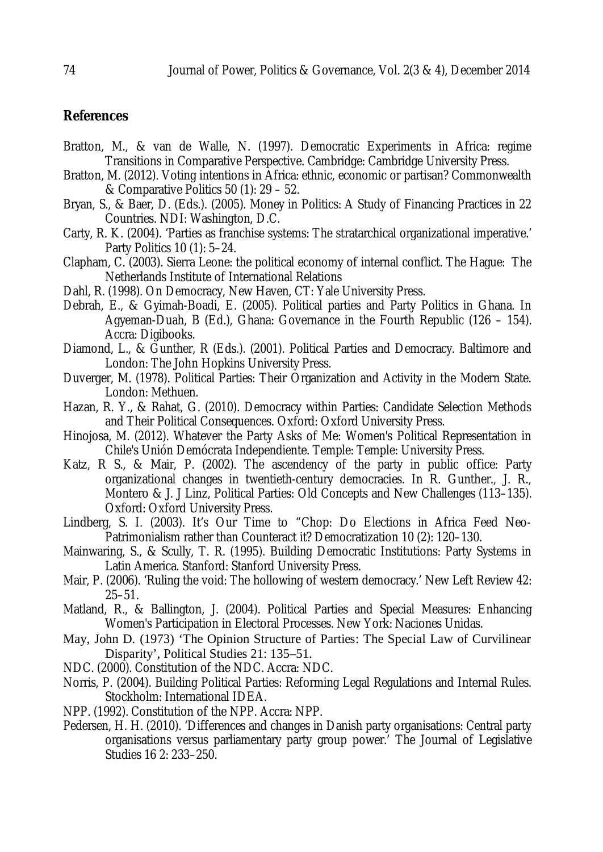## **References**

- Bratton, M., & van de Walle, N. (1997). Democratic Experiments in Africa: regime Transitions in Comparative Perspective. Cambridge: Cambridge University Press.
- Bratton, M. (2012). Voting intentions in Africa: ethnic, economic or partisan? Commonwealth & Comparative Politics 50 (1): 29 – 52.
- Bryan, S., & Baer, D. (Eds.). (2005). Money in Politics: A Study of Financing Practices in 22 Countries. NDI: Washington, D.C.
- Carty, R. K. (2004). 'Parties as franchise systems: The stratarchical organizational imperative.' Party Politics 10 (1): 5–24.
- Clapham, C. (2003). Sierra Leone: the political economy of internal conflict. The Hague: The Netherlands Institute of International Relations
- Dahl, R. (1998). On Democracy, New Haven, CT: Yale University Press.
- Debrah, E., & Gyimah-Boadi, E. (2005). Political parties and Party Politics in Ghana. In Agyeman-Duah, B (Ed.), Ghana: Governance in the Fourth Republic (126 – 154). Accra: Digibooks.
- Diamond, L., & Gunther, R (Eds.). (2001). Political Parties and Democracy. Baltimore and London: The John Hopkins University Press.
- Duverger, M. (1978). Political Parties: Their Organization and Activity in the Modern State. London: Methuen.
- Hazan, R. Y., & Rahat, G. (2010). Democracy within Parties: Candidate Selection Methods and Their Political Consequences. Oxford: Oxford University Press.
- Hinojosa, M. (2012). Whatever the Party Asks of Me: Women's Political Representation in Chile's Unión Demócrata Independiente. Temple: Temple: University Press.
- Katz, R S., & Mair, P. (2002). The ascendency of the party in public office: Party organizational changes in twentieth-century democracies. In R. Gunther., J. R., Montero & J. J Linz, Political Parties: Old Concepts and New Challenges (113–135). Oxford: Oxford University Press.
- Lindberg, S. I. (2003). It's Our Time to "Chop: Do Elections in Africa Feed Neo-Patrimonialism rather than Counteract it? Democratization 10 (2): 120–130.
- Mainwaring, S., & Scully, T. R. (1995). Building Democratic Institutions: Party Systems in Latin America. Stanford: Stanford University Press.
- Mair, P. (2006). 'Ruling the void: The hollowing of western democracy.' New Left Review 42: 25–51.
- Matland, R., & Ballington, J. (2004). Political Parties and Special Measures: Enhancing Women's Participation in Electoral Processes. New York: Naciones Unidas.
- May, John D. (1973) 'The Opinion Structure of Parties: The Special Law of Curvilinear Disparity', Political Studies 21: 135–51.
- NDC. (2000). Constitution of the NDC. Accra: NDC.
- Norris, P. (2004). Building Political Parties: Reforming Legal Regulations and Internal Rules. Stockholm: International IDEA.
- NPP. (1992). Constitution of the NPP. Accra: NPP.
- Pedersen, H. H. (2010). 'Differences and changes in Danish party organisations: Central party organisations versus parliamentary party group power.' The Journal of Legislative Studies 16 2: 233–250.